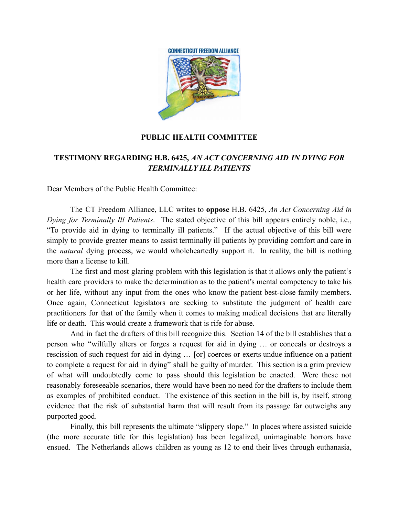

## **PUBLIC HEALTH COMMITTEE**

## **TESTIMONY REGARDING H.B. 6425,** *AN ACT CONCERNING AID IN DYING FOR TERMINALLY ILL PATIENTS*

Dear Members of the Public Health Committee:

The CT Freedom Alliance, LLC writes to **oppose** H.B. 6425, *An Act Concerning Aid in Dying for Terminally Ill Patients*. The stated objective of this bill appears entirely noble, i.e., "To provide aid in dying to terminally ill patients." If the actual objective of this bill were simply to provide greater means to assist terminally ill patients by providing comfort and care in the *natural* dying process, we would wholeheartedly support it. In reality, the bill is nothing more than a license to kill.

The first and most glaring problem with this legislation is that it allows only the patient's health care providers to make the determination as to the patient's mental competency to take his or her life, without any input from the ones who know the patient best-close family members. Once again, Connecticut legislators are seeking to substitute the judgment of health care practitioners for that of the family when it comes to making medical decisions that are literally life or death. This would create a framework that is rife for abuse.

And in fact the drafters of this bill recognize this. Section 14 of the bill establishes that a person who "wilfully alters or forges a request for aid in dying … or conceals or destroys a rescission of such request for aid in dying … [or] coerces or exerts undue influence on a patient to complete a request for aid in dying" shall be guilty of murder. This section is a grim preview of what will undoubtedly come to pass should this legislation be enacted. Were these not reasonably foreseeable scenarios, there would have been no need for the drafters to include them as examples of prohibited conduct. The existence of this section in the bill is, by itself, strong evidence that the risk of substantial harm that will result from its passage far outweighs any purported good.

Finally, this bill represents the ultimate "slippery slope." In places where assisted suicide (the more accurate title for this legislation) has been legalized, unimaginable horrors have ensued. The Netherlands allows children as young as 12 to end their lives through euthanasia,